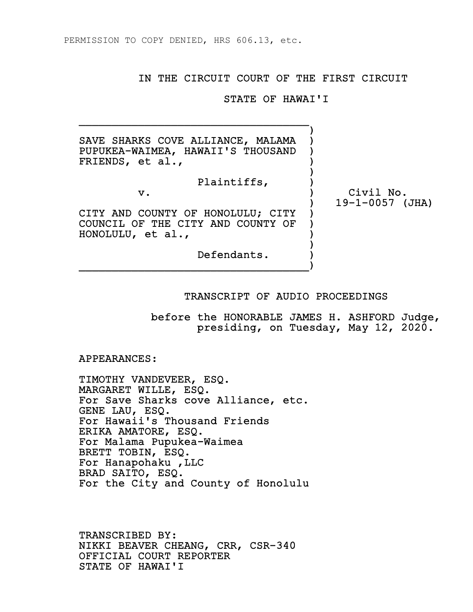## IN THE CIRCUIT COURT OF THE FIRST CIRCUIT

## STATE OF HAWAI'I

v. ) Civil No.

 ) SAVE SHARKS COVE ALLIANCE, MALAMA PUPUKEA-WAIMEA, HAWAII'S THOUSAND ) FRIENDS, et al., ) and the contract of  $\mathcal{L}$ 

 $\overline{\phantom{a}}$  ,  $\overline{\phantom{a}}$  ,  $\overline{\phantom{a}}$  ,  $\overline{\phantom{a}}$  ,  $\overline{\phantom{a}}$  ,  $\overline{\phantom{a}}$  ,  $\overline{\phantom{a}}$  ,  $\overline{\phantom{a}}$  ,  $\overline{\phantom{a}}$  ,  $\overline{\phantom{a}}$  ,  $\overline{\phantom{a}}$  ,  $\overline{\phantom{a}}$  ,  $\overline{\phantom{a}}$  ,  $\overline{\phantom{a}}$  ,  $\overline{\phantom{a}}$  ,  $\overline{\phantom{a}}$ 

Plaintiffs, )

 CITY AND COUNTY OF HONOLULU; CITY ) COUNCIL OF THE CITY AND COUNTY OF ) HONOLULU, et al., ) )

 Defendants. ) \_\_\_\_\_\_\_\_\_\_\_\_\_\_\_\_\_\_\_\_\_\_\_\_\_\_\_\_\_\_\_\_\_\_\_)

## TRANSCRIPT OF AUDIO PROCEEDINGS

 before the HONORABLE JAMES H. ASHFORD Judge, presiding, on Tuesday, May 12, 2020.

) 19-1-0057 (JHA)

APPEARANCES:

 TIMOTHY VANDEVEER, ESQ. MARGARET WILLE, ESQ. For Save Sharks cove Alliance, etc. GENE LAU, ESQ. For Hawaii's Thousand Friends ERIKA AMATORE, ESQ. For Malama Pupukea-Waimea BRETT TOBIN, ESQ. For Hanapohaku ,LLC BRAD SAITO, ESQ. For the City and County of Honolulu

 TRANSCRIBED BY: NIKKI BEAVER CHEANG, CRR, CSR-340 OFFICIAL COURT REPORTER STATE OF HAWAI'I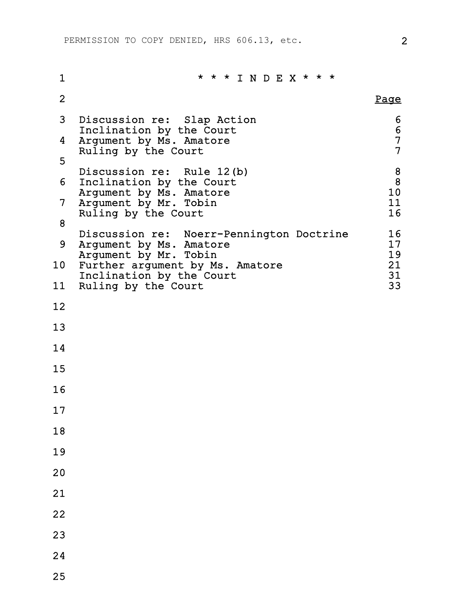| 1  | * * * I N D E X * * *                                                                                                                                                                                                                        |                               |
|----|----------------------------------------------------------------------------------------------------------------------------------------------------------------------------------------------------------------------------------------------|-------------------------------|
| 2  |                                                                                                                                                                                                                                              | <u>Page</u>                   |
| 3  | Discussion re: Slap Action<br>Inclination by the Court<br>Argument by Ms. Amatore<br>Ruling by the Court<br>Discussion re: Rule 12(b)<br>Inclination by the Court<br>Argument by Ms. Amatore<br>Argument by Mr. Tobin<br>Ruling by the Court |                               |
| 4  |                                                                                                                                                                                                                                              | 6<br>6<br>7<br>$\overline{7}$ |
| 5  |                                                                                                                                                                                                                                              |                               |
| 6  |                                                                                                                                                                                                                                              | 8<br>8<br>10                  |
| 7  |                                                                                                                                                                                                                                              | 11<br>16                      |
| 8  |                                                                                                                                                                                                                                              |                               |
| 9  | Discussion re: Noerr-Pennington Doctrine<br>Argument by Ms. Amatore                                                                                                                                                                          | 16<br>17                      |
| 10 | Argument by Mr. Tobin<br>Further argument by Ms. Amatore<br>Inclination by the Court<br>Ruling by the Court                                                                                                                                  | 19<br>21<br>31                |
| 11 |                                                                                                                                                                                                                                              | 33                            |
| 12 |                                                                                                                                                                                                                                              |                               |
| 13 |                                                                                                                                                                                                                                              |                               |
| 14 |                                                                                                                                                                                                                                              |                               |
| 15 |                                                                                                                                                                                                                                              |                               |
| 16 |                                                                                                                                                                                                                                              |                               |
| 17 |                                                                                                                                                                                                                                              |                               |
| 18 |                                                                                                                                                                                                                                              |                               |
| 19 |                                                                                                                                                                                                                                              |                               |
| 20 |                                                                                                                                                                                                                                              |                               |
| 21 |                                                                                                                                                                                                                                              |                               |
| 22 |                                                                                                                                                                                                                                              |                               |
| 23 |                                                                                                                                                                                                                                              |                               |
| 24 |                                                                                                                                                                                                                                              |                               |

25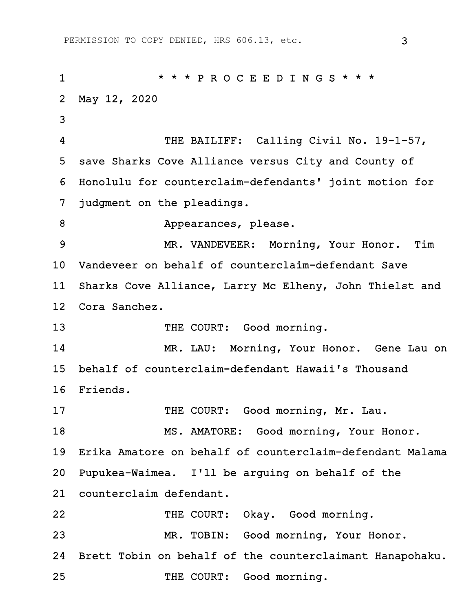1 \* \* \* P R O C E E D I N G S \* \* \* 2 May 12, 2020 3 4 THE BAILIFF: Calling Civil No. 19-1-57, 5 save Sharks Cove Alliance versus City and County of 6 Honolulu for counterclaim-defendants' joint motion for 7 judgment on the pleadings. 8 Appearances, please. 9 MR. VANDEVEER: Morning, Your Honor. Tim 10 Vandeveer on behalf of counterclaim-defendant Save 11 Sharks Cove Alliance, Larry Mc Elheny, John Thielst and 12 Cora Sanchez. 13 THE COURT: Good morning. 14 MR. LAU: Morning, Your Honor. Gene Lau on 15 behalf of counterclaim-defendant Hawaii's Thousand 16 Friends. 17 THE COURT: Good morning, Mr. Lau. 18 MS. AMATORE: Good morning, Your Honor. 19 Erika Amatore on behalf of counterclaim-defendant Malama 20 Pupukea-Waimea. I'll be arguing on behalf of the 21 counterclaim defendant. 22 THE COURT: Okay. Good morning. 23 MR. TOBIN: Good morning, Your Honor. 24 Brett Tobin on behalf of the counterclaimant Hanapohaku. 25 THE COURT: Good morning.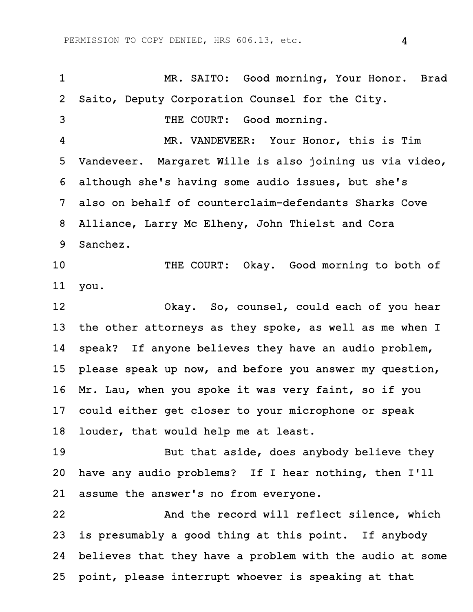1 MR. SAITO: Good morning, Your Honor. Brad 2 Saito, Deputy Corporation Counsel for the City. 3 THE COURT: Good morning. 4 MR. VANDEVEER: Your Honor, this is Tim 5 Vandeveer. Margaret Wille is also joining us via video, 6 although she's having some audio issues, but she's 7 also on behalf of counterclaim-defendants Sharks Cove 8 Alliance, Larry Mc Elheny, John Thielst and Cora 9 Sanchez. 10 THE COURT: Okay. Good morning to both of 11 you. 12 Okay. So, counsel, could each of you hear 13 the other attorneys as they spoke, as well as me when I 14 speak? If anyone believes they have an audio problem, 15 please speak up now, and before you answer my question, 16 Mr. Lau, when you spoke it was very faint, so if you 17 could either get closer to your microphone or speak 18 louder, that would help me at least. 19 But that aside, does anybody believe they 20 have any audio problems? If I hear nothing, then I'll 21 assume the answer's no from everyone. 22 And the record will reflect silence, which 23 is presumably a good thing at this point. If anybody 24 believes that they have a problem with the audio at some 25 point, please interrupt whoever is speaking at that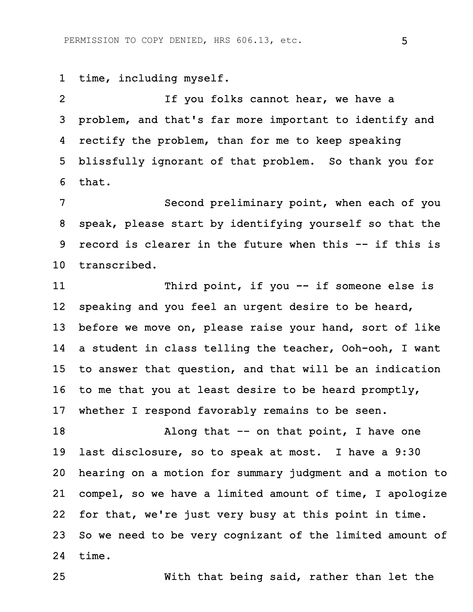1 time, including myself.

2 If you folks cannot hear, we have a 3 problem, and that's far more important to identify and 4 rectify the problem, than for me to keep speaking 5 blissfully ignorant of that problem. So thank you for 6 that.

7 Second preliminary point, when each of you 8 speak, please start by identifying yourself so that the 9 record is clearer in the future when this -- if this is 10 transcribed.

11 Third point, if you -- if someone else is 12 speaking and you feel an urgent desire to be heard, 13 before we move on, please raise your hand, sort of like 14 a student in class telling the teacher, Ooh-ooh, I want 15 to answer that question, and that will be an indication 16 to me that you at least desire to be heard promptly, 17 whether I respond favorably remains to be seen.

18 Along that -- on that point, I have one 19 last disclosure, so to speak at most. I have a 9:30 20 hearing on a motion for summary judgment and a motion to 21 compel, so we have a limited amount of time, I apologize 22 for that, we're just very busy at this point in time. 23 So we need to be very cognizant of the limited amount of 24 time.

25 With that being said, rather than let the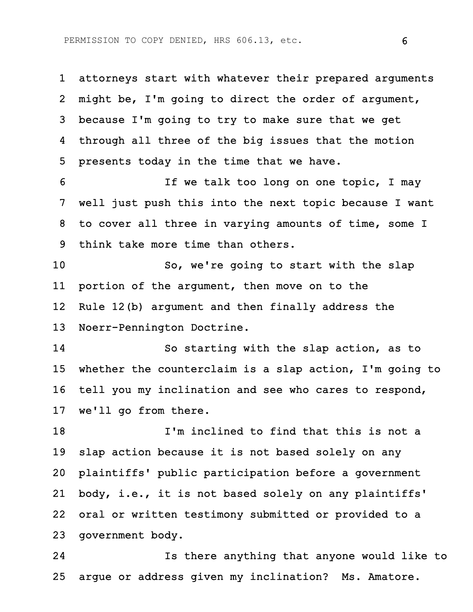1 attorneys start with whatever their prepared arguments 2 might be, I'm going to direct the order of argument, 3 because I'm going to try to make sure that we get 4 through all three of the big issues that the motion 5 presents today in the time that we have.

6 **If we talk too long on one topic, I may** 7 well just push this into the next topic because I want 8 to cover all three in varying amounts of time, some I 9 think take more time than others.

10 So, we're going to start with the slap 11 portion of the argument, then move on to the 12 Rule 12(b) argument and then finally address the 13 Noerr-Pennington Doctrine.

14 So starting with the slap action, as to 15 whether the counterclaim is a slap action, I'm going to 16 tell you my inclination and see who cares to respond, 17 we'll go from there.

18 I'm inclined to find that this is not a 19 slap action because it is not based solely on any 20 plaintiffs' public participation before a government 21 body, i.e., it is not based solely on any plaintiffs' 22 oral or written testimony submitted or provided to a 23 government body.

24 Is there anything that anyone would like to 25 argue or address given my inclination? Ms. Amatore.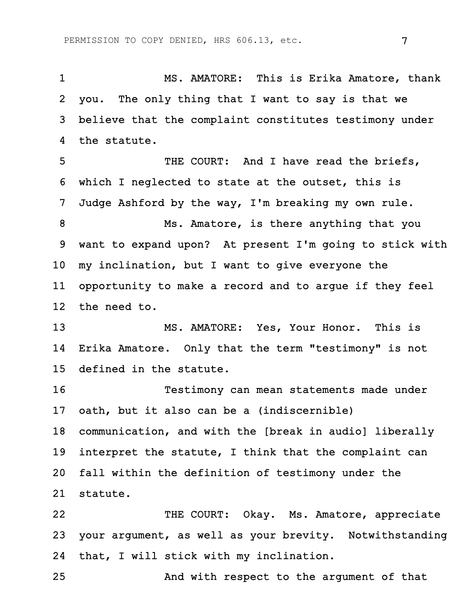1 MS. AMATORE: This is Erika Amatore, thank 2 you. The only thing that I want to say is that we 3 believe that the complaint constitutes testimony under 4 the statute.

5 THE COURT: And I have read the briefs, 6 which I neglected to state at the outset, this is 7 Judge Ashford by the way, I'm breaking my own rule. 8 Ms. Amatore, is there anything that you 9 want to expand upon? At present I'm going to stick with 10 my inclination, but I want to give everyone the 11 opportunity to make a record and to argue if they feel 12 the need to.

13 MS. AMATORE: Yes, Your Honor. This is 14 Erika Amatore. Only that the term "testimony" is not 15 defined in the statute.

16 Testimony can mean statements made under 17 oath, but it also can be a (indiscernible) 18 communication, and with the [break in audio] liberally 19 interpret the statute, I think that the complaint can

20 fall within the definition of testimony under the 21 statute.

22 THE COURT: Okay. Ms. Amatore, appreciate 23 your argument, as well as your brevity. Notwithstanding 24 that, I will stick with my inclination.

25 And with respect to the argument of that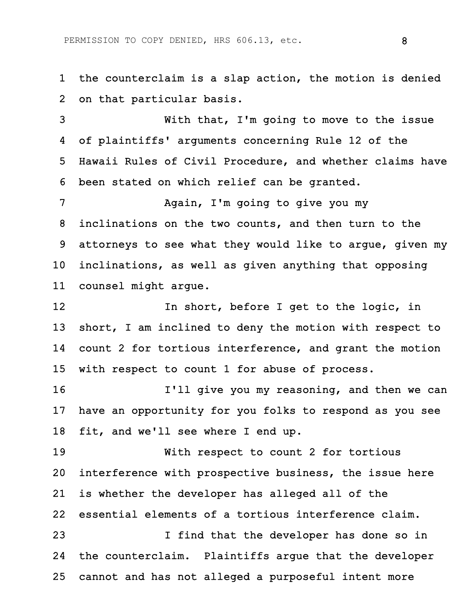1 the counterclaim is a slap action, the motion is denied 2 on that particular basis.

3 With that, I'm going to move to the issue 4 of plaintiffs' arguments concerning Rule 12 of the 5 Hawaii Rules of Civil Procedure, and whether claims have 6 been stated on which relief can be granted.

7 Again, I'm going to give you my 8 inclinations on the two counts, and then turn to the 9 attorneys to see what they would like to argue, given my 10 inclinations, as well as given anything that opposing 11 counsel might argue.

12 **In short, before I get to the logic, in** 13 short, I am inclined to deny the motion with respect to 14 count 2 for tortious interference, and grant the motion 15 with respect to count 1 for abuse of process.

16 **I'll give you my reasoning, and then we can** 17 have an opportunity for you folks to respond as you see 18 fit, and we'll see where I end up.

19 With respect to count 2 for tortious 20 interference with prospective business, the issue here 21 is whether the developer has alleged all of the 22 essential elements of a tortious interference claim. 23 I find that the developer has done so in

24 the counterclaim. Plaintiffs argue that the developer 25 cannot and has not alleged a purposeful intent more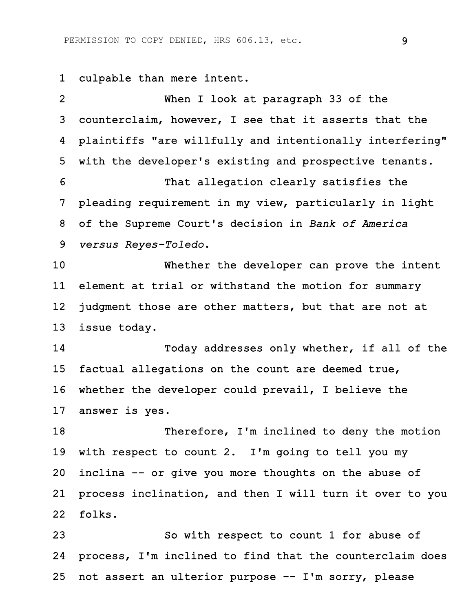1 culpable than mere intent.

2 When I look at paragraph 33 of the 3 counterclaim, however, I see that it asserts that the 4 plaintiffs "are willfully and intentionally interfering" 5 with the developer's existing and prospective tenants. 6 That allegation clearly satisfies the 7 pleading requirement in my view, particularly in light 8 of the Supreme Court's decision in *Bank of America* 9 *versus Reyes-Toledo*. 10 Whether the developer can prove the intent 11 element at trial or withstand the motion for summary 12 judgment those are other matters, but that are not at 13 issue today. 14 Today addresses only whether, if all of the 15 factual allegations on the count are deemed true, 16 whether the developer could prevail, I believe the 17 answer is yes. 18 Therefore, I'm inclined to deny the motion 19 with respect to count 2. I'm going to tell you my 20 inclina -- or give you more thoughts on the abuse of 21 process inclination, and then I will turn it over to you 22 folks. 23 So with respect to count 1 for abuse of 24 process, I'm inclined to find that the counterclaim does

25 not assert an ulterior purpose -- I'm sorry, please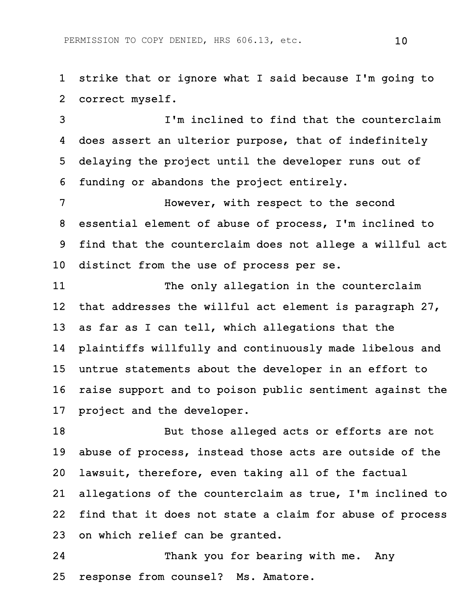1 strike that or ignore what I said because I'm going to 2 correct myself.

3 I'm inclined to find that the counterclaim 4 does assert an ulterior purpose, that of indefinitely 5 delaying the project until the developer runs out of 6 funding or abandons the project entirely.

7 However, with respect to the second 8 essential element of abuse of process, I'm inclined to 9 find that the counterclaim does not allege a willful act 10 distinct from the use of process per se.

11 The only allegation in the counterclaim 12 that addresses the willful act element is paragraph 27, 13 as far as I can tell, which allegations that the 14 plaintiffs willfully and continuously made libelous and 15 untrue statements about the developer in an effort to 16 raise support and to poison public sentiment against the 17 project and the developer.

18 But those alleged acts or efforts are not 19 abuse of process, instead those acts are outside of the 20 lawsuit, therefore, even taking all of the factual 21 allegations of the counterclaim as true, I'm inclined to 22 find that it does not state a claim for abuse of process 23 on which relief can be granted.

24 Thank you for bearing with me. Any 25 response from counsel? Ms. Amatore.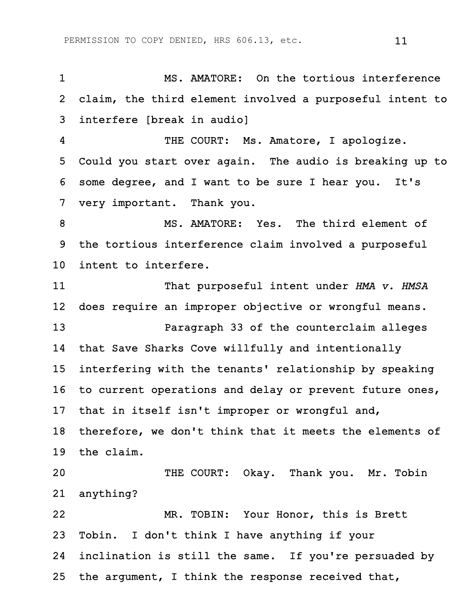1 MS. AMATORE: On the tortious interference 2 claim, the third element involved a purposeful intent to 3 interfere [break in audio] 4 THE COURT: Ms. Amatore, I apologize. 5 Could you start over again. The audio is breaking up to 6 some degree, and I want to be sure I hear you. It's 7 very important. Thank you. 8 MS. AMATORE: Yes. The third element of 9 the tortious interference claim involved a purposeful 10 intent to interfere. 11 That purposeful intent under *HMA v. HMSA* 12 does require an improper objective or wrongful means. 13 Paragraph 33 of the counterclaim alleges 14 that Save Sharks Cove willfully and intentionally 15 interfering with the tenants' relationship by speaking 16 to current operations and delay or prevent future ones, 17 that in itself isn't improper or wrongful and, 18 therefore, we don't think that it meets the elements of 19 the claim. 20 THE COURT: Okay. Thank you. Mr. Tobin 21 anything? 22 MR. TOBIN: Your Honor, this is Brett 23 Tobin. I don't think I have anything if your 24 inclination is still the same. If you're persuaded by 25 the argument, I think the response received that,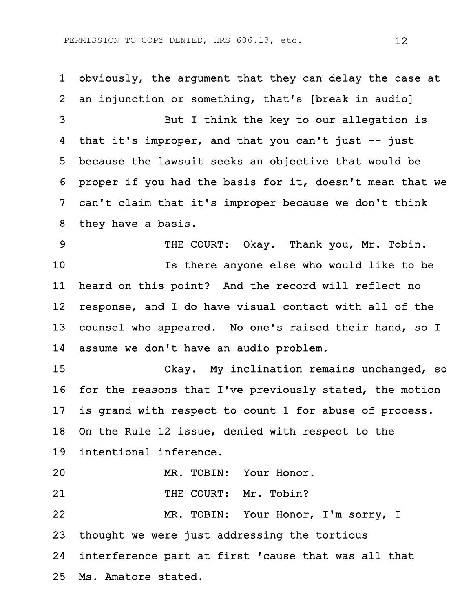1 obviously, the argument that they can delay the case at 2 an injunction or something, that's [break in audio] 3 But I think the key to our allegation is 4 that it's improper, and that you can't just -- just 5 because the lawsuit seeks an objective that would be 6 proper if you had the basis for it, doesn't mean that we 7 can't claim that it's improper because we don't think 8 they have a basis. 9 THE COURT: Okay. Thank you, Mr. Tobin. 10 Is there anyone else who would like to be 11 heard on this point? And the record will reflect no 12 response, and I do have visual contact with all of the 13 counsel who appeared. No one's raised their hand, so I 14 assume we don't have an audio problem. 15 Okay. My inclination remains unchanged, so 16 for the reasons that I've previously stated, the motion 17 is grand with respect to count 1 for abuse of process. 18 On the Rule 12 issue, denied with respect to the 19 intentional inference. 20 MR. TOBIN: Your Honor. 21 THE COURT: Mr. Tobin? 22 MR. TOBIN: Your Honor, I'm sorry, I 23 thought we were just addressing the tortious 24 interference part at first 'cause that was all that 25 Ms. Amatore stated.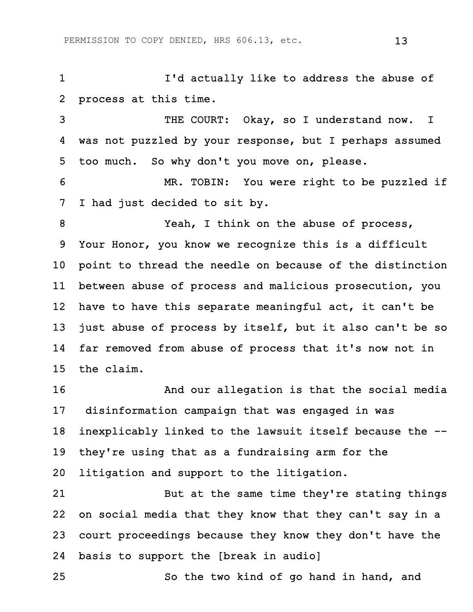1 I'd actually like to address the abuse of 2 process at this time.

3 THE COURT: Okay, so I understand now. I 4 was not puzzled by your response, but I perhaps assumed 5 too much. So why don't you move on, please.

6 MR. TOBIN: You were right to be puzzled if 7 I had just decided to sit by.

8 Yeah, I think on the abuse of process, 9 Your Honor, you know we recognize this is a difficult 10 point to thread the needle on because of the distinction 11 between abuse of process and malicious prosecution, you 12 have to have this separate meaningful act, it can't be 13 just abuse of process by itself, but it also can't be so 14 far removed from abuse of process that it's now not in 15 the claim.

16 And our allegation is that the social media 17 disinformation campaign that was engaged in was 18 inexplicably linked to the lawsuit itself because the -- 19 they're using that as a fundraising arm for the 20 litigation and support to the litigation.

21 But at the same time they're stating things 22 on social media that they know that they can't say in a 23 court proceedings because they know they don't have the 24 basis to support the [break in audio]

25 So the two kind of go hand in hand, and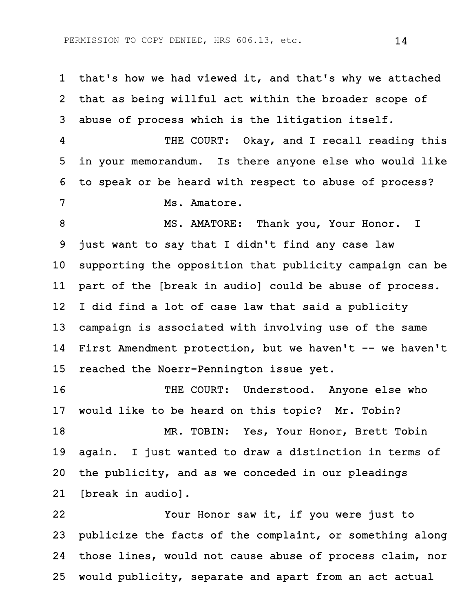1 that's how we had viewed it, and that's why we attached 2 that as being willful act within the broader scope of 3 abuse of process which is the litigation itself. 4 THE COURT: Okay, and I recall reading this 5 in your memorandum. Is there anyone else who would like 6 to speak or be heard with respect to abuse of process? 7 Ms. Amatore. 8 MS. AMATORE: Thank you, Your Honor. I 9 just want to say that I didn't find any case law 10 supporting the opposition that publicity campaign can be 11 part of the [break in audio] could be abuse of process. 12 I did find a lot of case law that said a publicity 13 campaign is associated with involving use of the same 14 First Amendment protection, but we haven't -- we haven't 15 reached the Noerr-Pennington issue yet. 16 THE COURT: Understood. Anyone else who 17 would like to be heard on this topic? Mr. Tobin? 18 MR. TOBIN: Yes, Your Honor, Brett Tobin 19 again. I just wanted to draw a distinction in terms of 20 the publicity, and as we conceded in our pleadings

21 [break in audio].

22 Your Honor saw it, if you were just to 23 publicize the facts of the complaint, or something along 24 those lines, would not cause abuse of process claim, nor 25 would publicity, separate and apart from an act actual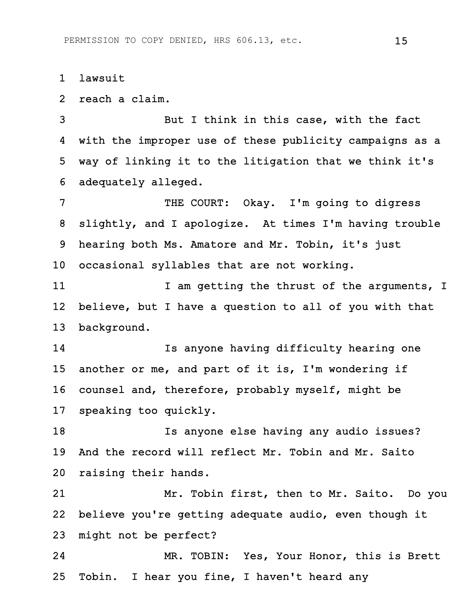1 lawsuit

2 reach a claim.

3 But I think in this case, with the fact 4 with the improper use of these publicity campaigns as a 5 way of linking it to the litigation that we think it's 6 adequately alleged.

7 THE COURT: Okay. I'm going to digress 8 slightly, and I apologize. At times I'm having trouble 9 hearing both Ms. Amatore and Mr. Tobin, it's just 10 occasional syllables that are not working.

11 12 I am getting the thrust of the arguments, I 12 believe, but I have a question to all of you with that 13 background.

14 Is anyone having difficulty hearing one 15 another or me, and part of it is, I'm wondering if 16 counsel and, therefore, probably myself, might be 17 speaking too quickly.

18 Is anyone else having any audio issues? 19 And the record will reflect Mr. Tobin and Mr. Saito 20 raising their hands.

21 Mr. Tobin first, then to Mr. Saito. Do you 22 believe you're getting adequate audio, even though it 23 might not be perfect?

24 MR. TOBIN: Yes, Your Honor, this is Brett 25 Tobin. I hear you fine, I haven't heard any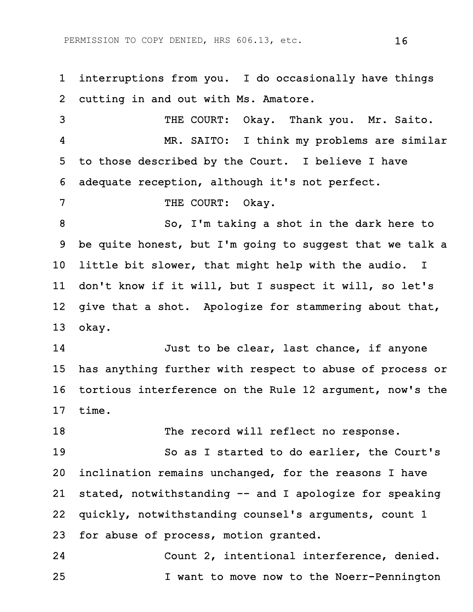1 interruptions from you. I do occasionally have things 2 cutting in and out with Ms. Amatore.

3 THE COURT: Okay. Thank you. Mr. Saito. 4 MR. SAITO: I think my problems are similar 5 to those described by the Court. I believe I have 6 adequate reception, although it's not perfect.

7 THE COURT: Okay.

8 So, I'm taking a shot in the dark here to 9 be quite honest, but I'm going to suggest that we talk a 10 little bit slower, that might help with the audio. I 11 don't know if it will, but I suspect it will, so let's 12 give that a shot. Apologize for stammering about that, 13 okay.

14 Just to be clear, last chance, if anyone 15 has anything further with respect to abuse of process or 16 tortious interference on the Rule 12 argument, now's the 17 time.

18 The record will reflect no response.

19 So as I started to do earlier, the Court's 20 inclination remains unchanged, for the reasons I have 21 stated, notwithstanding -- and I apologize for speaking 22 quickly, notwithstanding counsel's arguments, count 1 23 for abuse of process, motion granted.

24 Count 2, intentional interference, denied. 25 I want to move now to the Noerr-Pennington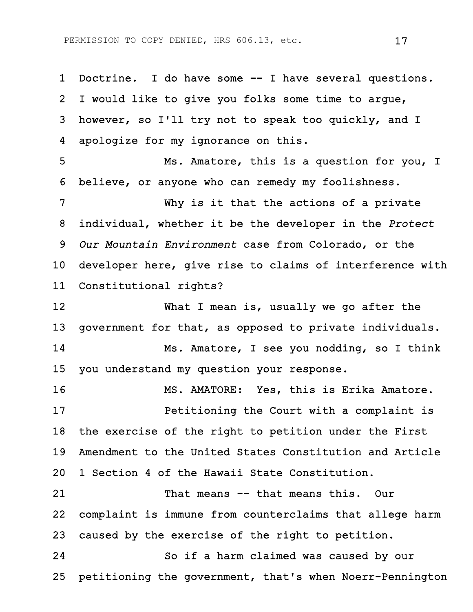1 Doctrine. I do have some -- I have several questions. 2 I would like to give you folks some time to argue, 3 however, so I'll try not to speak too quickly, and I 4 apologize for my ignorance on this. 5 Ms. Amatore, this is a question for you, I 6 believe, or anyone who can remedy my foolishness. 7 Why is it that the actions of a private 8 individual, whether it be the developer in the *Protect* 9 *Our Mountain Environment* case from Colorado, or the 10 developer here, give rise to claims of interference with 11 Constitutional rights? 12 What I mean is, usually we go after the 13 government for that, as opposed to private individuals. 14 Ms. Amatore, I see you nodding, so I think 15 you understand my question your response. 16 MS. AMATORE: Yes, this is Erika Amatore. 17 Petitioning the Court with a complaint is 18 the exercise of the right to petition under the First 19 Amendment to the United States Constitution and Article 20 1 Section 4 of the Hawaii State Constitution. 21 That means -- that means this. Our 22 complaint is immune from counterclaims that allege harm 23 caused by the exercise of the right to petition. 24 So if a harm claimed was caused by our 25 petitioning the government, that's when Noerr-Pennington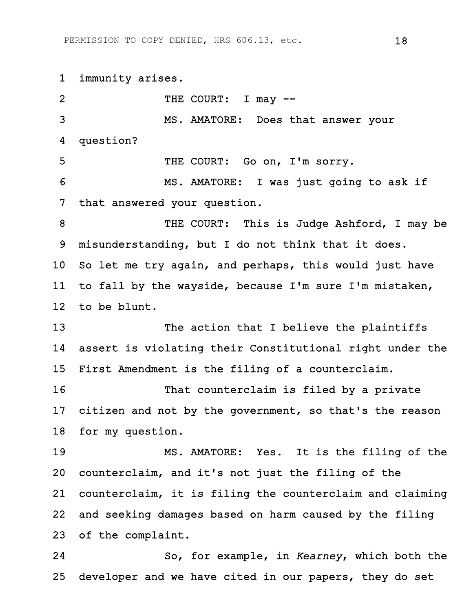1 immunity arises. 2 THE COURT: I may  $-$ 3 MS. AMATORE: Does that answer your 4 question? 5 THE COURT: Go on, I'm sorry. 6 MS. AMATORE: I was just going to ask if 7 that answered your question. 8 THE COURT: This is Judge Ashford, I may be 9 misunderstanding, but I do not think that it does. 10 So let me try again, and perhaps, this would just have 11 to fall by the wayside, because I'm sure I'm mistaken, 12 to be blunt. 13 The action that I believe the plaintiffs 14 assert is violating their Constitutional right under the 15 First Amendment is the filing of a counterclaim. 16 That counterclaim is filed by a private 17 citizen and not by the government, so that's the reason 18 for my question. 19 MS. AMATORE: Yes. It is the filing of the 20 counterclaim, and it's not just the filing of the 21 counterclaim, it is filing the counterclaim and claiming 22 and seeking damages based on harm caused by the filing 23 of the complaint. 24 So, for example, in *Kearney*, which both the 25 developer and we have cited in our papers, they do set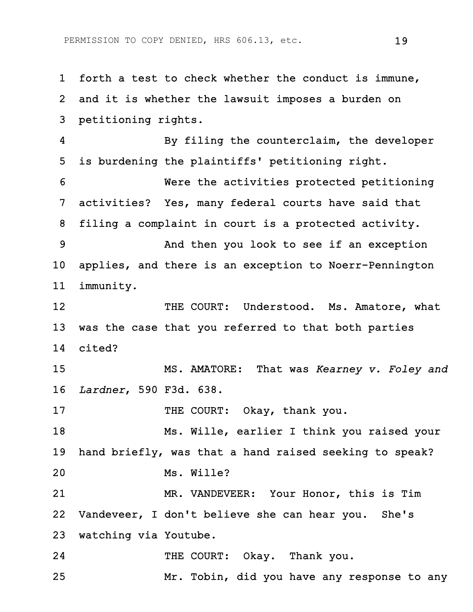1 forth a test to check whether the conduct is immune, 2 and it is whether the lawsuit imposes a burden on 3 petitioning rights. 4 By filing the counterclaim, the developer 5 is burdening the plaintiffs' petitioning right. 6 Were the activities protected petitioning 7 activities? Yes, many federal courts have said that 8 filing a complaint in court is a protected activity. 9 And then you look to see if an exception 10 applies, and there is an exception to Noerr-Pennington 11 immunity. 12 THE COURT: Understood. Ms. Amatore, what 13 was the case that you referred to that both parties 14 cited? 15 MS. AMATORE: That was *Kearney v. Foley and* 16 *Lardner*, 590 F3d. 638. 17 THE COURT: Okay, thank you. 18 Ms. Wille, earlier I think you raised your 19 hand briefly, was that a hand raised seeking to speak? 20 Ms. Wille? 21 MR. VANDEVEER: Your Honor, this is Tim 22 Vandeveer, I don't believe she can hear you. She's 23 watching via Youtube. 24 THE COURT: Okay. Thank you. 25 Mr. Tobin, did you have any response to any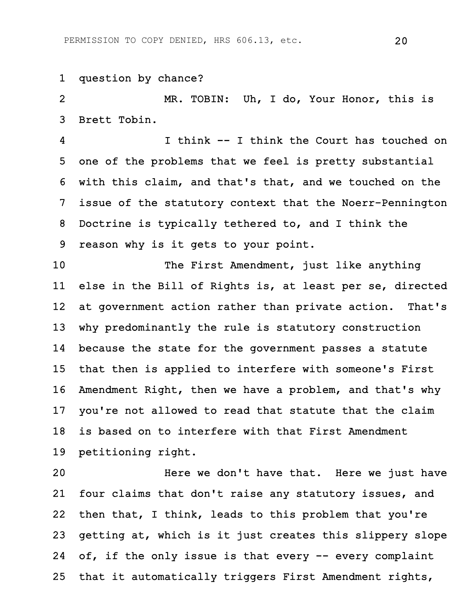1 question by chance?

2 MR. TOBIN: Uh, I do, Your Honor, this is 3 Brett Tobin.

4 I think -- I think the Court has touched on 5 one of the problems that we feel is pretty substantial 6 with this claim, and that's that, and we touched on the 7 issue of the statutory context that the Noerr-Pennington 8 Doctrine is typically tethered to, and I think the 9 reason why is it gets to your point.

10 The First Amendment, just like anything 11 else in the Bill of Rights is, at least per se, directed 12 at government action rather than private action. That's 13 why predominantly the rule is statutory construction 14 because the state for the government passes a statute 15 that then is applied to interfere with someone's First 16 Amendment Right, then we have a problem, and that's why 17 you're not allowed to read that statute that the claim 18 is based on to interfere with that First Amendment 19 petitioning right.

20 Here we don't have that. Here we just have 21 four claims that don't raise any statutory issues, and 22 then that, I think, leads to this problem that you're 23 getting at, which is it just creates this slippery slope 24 of, if the only issue is that every -- every complaint 25 that it automatically triggers First Amendment rights,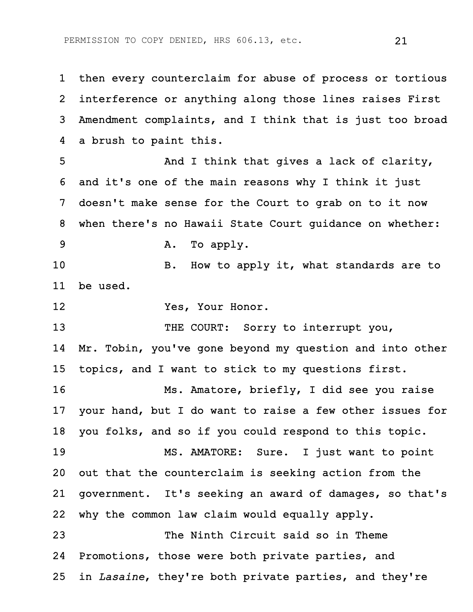1 then every counterclaim for abuse of process or tortious 2 interference or anything along those lines raises First 3 Amendment complaints, and I think that is just too broad 4 a brush to paint this.

5 And I think that gives a lack of clarity, 6 and it's one of the main reasons why I think it just 7 doesn't make sense for the Court to grab on to it now 8 when there's no Hawaii State Court guidance on whether: 9 A. To apply.

10 B. How to apply it, what standards are to 11 be used.

12 Yes, Your Honor.

13 THE COURT: Sorry to interrupt you,

14 Mr. Tobin, you've gone beyond my question and into other 15 topics, and I want to stick to my questions first.

16 Ms. Amatore, briefly, I did see you raise 17 your hand, but I do want to raise a few other issues for 18 you folks, and so if you could respond to this topic. 19 MS. AMATORE: Sure. I just want to point

20 out that the counterclaim is seeking action from the 21 government. It's seeking an award of damages, so that's 22 why the common law claim would equally apply.

23 The Ninth Circuit said so in Theme 24 Promotions, those were both private parties, and 25 in *Lasaine*, they're both private parties, and they're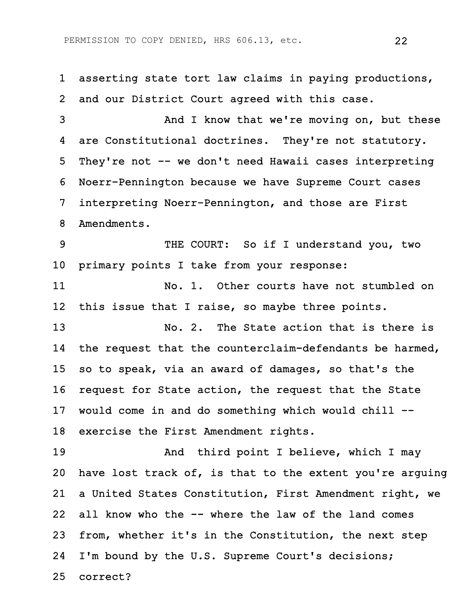1 asserting state tort law claims in paying productions, 2 and our District Court agreed with this case. 3 And I know that we're moving on, but these 4 are Constitutional doctrines. They're not statutory. 5 They're not -- we don't need Hawaii cases interpreting 6 Noerr-Pennington because we have Supreme Court cases 7 interpreting Noerr-Pennington, and those are First 8 Amendments. 9 THE COURT: So if I understand you, two 10 primary points I take from your response: 11 No. 1. Other courts have not stumbled on 12 this issue that I raise, so maybe three points. 13 No. 2. The State action that is there is 14 the request that the counterclaim-defendants be harmed, 15 so to speak, via an award of damages, so that's the 16 request for State action, the request that the State 17 would come in and do something which would chill -- 18 exercise the First Amendment rights. 19 And third point I believe, which I may 20 have lost track of, is that to the extent you're arguing 21 a United States Constitution, First Amendment right, we 22 all know who the -- where the law of the land comes 23 from, whether it's in the Constitution, the next step 24 I'm bound by the U.S. Supreme Court's decisions; 25 correct?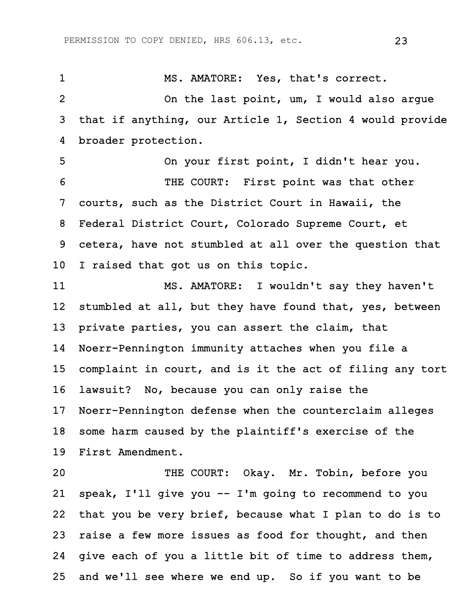1 MS. AMATORE: Yes, that's correct. 2 On the last point, um, I would also argue 3 that if anything, our Article 1, Section 4 would provide 4 broader protection. 5 On your first point, I didn't hear you. 6 THE COURT: First point was that other 7 courts, such as the District Court in Hawaii, the 8 Federal District Court, Colorado Supreme Court, et 9 cetera, have not stumbled at all over the question that 10 I raised that got us on this topic. 11 MS. AMATORE: I wouldn't say they haven't 12 stumbled at all, but they have found that, yes, between 13 private parties, you can assert the claim, that 14 Noerr-Pennington immunity attaches when you file a 15 complaint in court, and is it the act of filing any tort 16 lawsuit? No, because you can only raise the

17 Noerr-Pennington defense when the counterclaim alleges 18 some harm caused by the plaintiff's exercise of the 19 First Amendment.

20 THE COURT: Okay. Mr. Tobin, before you 21 speak, I'll give you -- I'm going to recommend to you 22 that you be very brief, because what I plan to do is to 23 raise a few more issues as food for thought, and then 24 give each of you a little bit of time to address them, 25 and we'll see where we end up. So if you want to be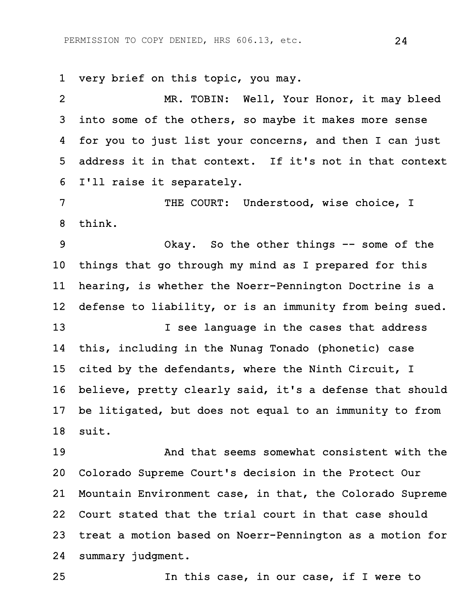1 very brief on this topic, you may.

2 MR. TOBIN: Well, Your Honor, it may bleed 3 into some of the others, so maybe it makes more sense 4 for you to just list your concerns, and then I can just 5 address it in that context. If it's not in that context 6 I'll raise it separately.

7 THE COURT: Understood, wise choice, I 8 think.

9 Okay. So the other things -- some of the 10 things that go through my mind as I prepared for this 11 hearing, is whether the Noerr-Pennington Doctrine is a 12 defense to liability, or is an immunity from being sued.

13 **I** see language in the cases that address 14 this, including in the Nunag Tonado (phonetic) case 15 cited by the defendants, where the Ninth Circuit, I 16 believe, pretty clearly said, it's a defense that should 17 be litigated, but does not equal to an immunity to from 18 suit.

19 And that seems somewhat consistent with the 20 Colorado Supreme Court's decision in the Protect Our 21 Mountain Environment case, in that, the Colorado Supreme 22 Court stated that the trial court in that case should 23 treat a motion based on Noerr-Pennington as a motion for 24 summary judgment.

25 In this case, in our case, if I were to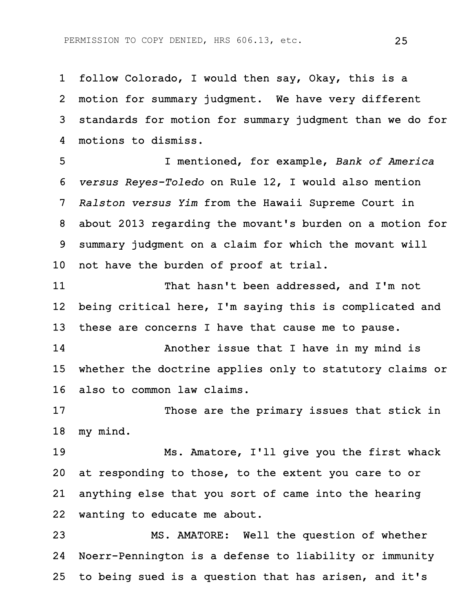1 follow Colorado, I would then say, Okay, this is a 2 motion for summary judgment. We have very different 3 standards for motion for summary judgment than we do for 4 motions to dismiss.

5 I mentioned, for example, *Bank of America* 6 *versus Reyes-Toledo* on Rule 12, I would also mention 7 *Ralston versus Yim* from the Hawaii Supreme Court in 8 about 2013 regarding the movant's burden on a motion for 9 summary judgment on a claim for which the movant will 10 not have the burden of proof at trial.

11 That hasn't been addressed, and I'm not 12 being critical here, I'm saying this is complicated and 13 these are concerns I have that cause me to pause.

14 Another issue that I have in my mind is 15 whether the doctrine applies only to statutory claims or 16 also to common law claims.

17 Those are the primary issues that stick in 18 my mind.

19 Ms. Amatore, I'll give you the first whack 20 at responding to those, to the extent you care to or 21 anything else that you sort of came into the hearing 22 wanting to educate me about.

23 MS. AMATORE: Well the question of whether 24 Noerr-Pennington is a defense to liability or immunity 25 to being sued is a question that has arisen, and it's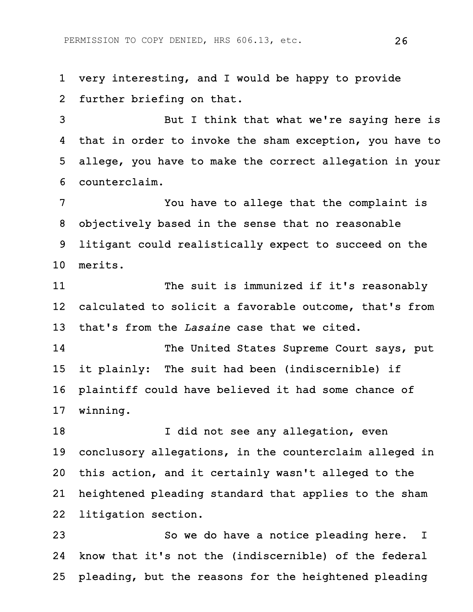1 very interesting, and I would be happy to provide 2 further briefing on that.

3 But I think that what we're saying here is 4 that in order to invoke the sham exception, you have to 5 allege, you have to make the correct allegation in your 6 counterclaim.

7 You have to allege that the complaint is 8 objectively based in the sense that no reasonable 9 litigant could realistically expect to succeed on the 10 merits.

11 The suit is immunized if it's reasonably 12 calculated to solicit a favorable outcome, that's from 13 that's from the *Lasaine* case that we cited.

14 The United States Supreme Court says, put 15 it plainly: The suit had been (indiscernible) if 16 plaintiff could have believed it had some chance of 17 winning.

18 I did not see any allegation, even 19 conclusory allegations, in the counterclaim alleged in 20 this action, and it certainly wasn't alleged to the 21 heightened pleading standard that applies to the sham 22 litigation section.

23 So we do have a notice pleading here. I 24 know that it's not the (indiscernible) of the federal 25 pleading, but the reasons for the heightened pleading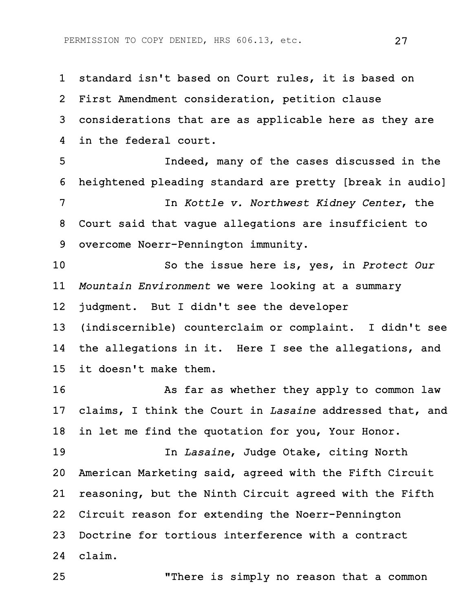1 standard isn't based on Court rules, it is based on 2 First Amendment consideration, petition clause 3 considerations that are as applicable here as they are 4 in the federal court.

5 Indeed, many of the cases discussed in the 6 heightened pleading standard are pretty [break in audio] 7 In *Kottle v. Northwest Kidney Center*, the 8 Court said that vague allegations are insufficient to 9 overcome Noerr-Pennington immunity.

10 So the issue here is, yes, in *Protect Our* 11 *Mountain Environment* we were looking at a summary 12 judgment. But I didn't see the developer

13 (indiscernible) counterclaim or complaint. I didn't see 14 the allegations in it. Here I see the allegations, and 15 it doesn't make them.

16 As far as whether they apply to common law 17 claims, I think the Court in *Lasaine* addressed that, and 18 in let me find the quotation for you, Your Honor.

19 In *Lasaine*, Judge Otake, citing North 20 American Marketing said, agreed with the Fifth Circuit 21 reasoning, but the Ninth Circuit agreed with the Fifth 22 Circuit reason for extending the Noerr-Pennington 23 Doctrine for tortious interference with a contract 24 claim.

25 "There is simply no reason that a common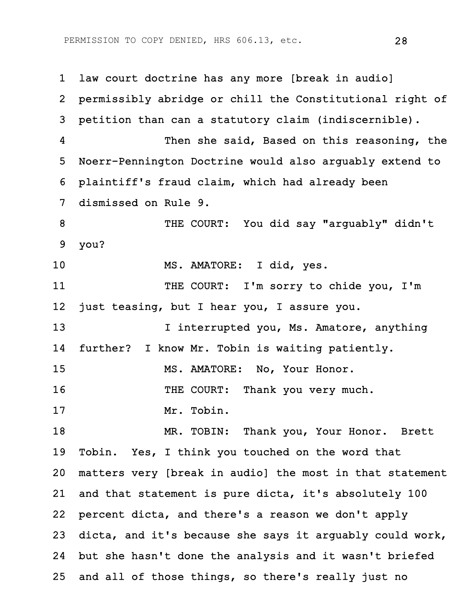1 law court doctrine has any more [break in audio] 2 permissibly abridge or chill the Constitutional right of 3 petition than can a statutory claim (indiscernible). 4 Then she said, Based on this reasoning, the 5 Noerr-Pennington Doctrine would also arguably extend to 6 plaintiff's fraud claim, which had already been 7 dismissed on Rule 9. 8 THE COURT: You did say "arguably" didn't 9 you? 10 MS. AMATORE: I did, yes. 11 THE COURT: I'm sorry to chide you, I'm 12 just teasing, but I hear you, I assure you. 13 I interrupted you, Ms. Amatore, anything 14 further? I know Mr. Tobin is waiting patiently. 15 MS. AMATORE: No, Your Honor. 16 THE COURT: Thank you very much. 17 Mr. Tobin. 18 MR. TOBIN: Thank you, Your Honor. Brett 19 Tobin. Yes, I think you touched on the word that 20 matters very [break in audio] the most in that statement 21 and that statement is pure dicta, it's absolutely 100 22 percent dicta, and there's a reason we don't apply 23 dicta, and it's because she says it arguably could work, 24 but she hasn't done the analysis and it wasn't briefed 25 and all of those things, so there's really just no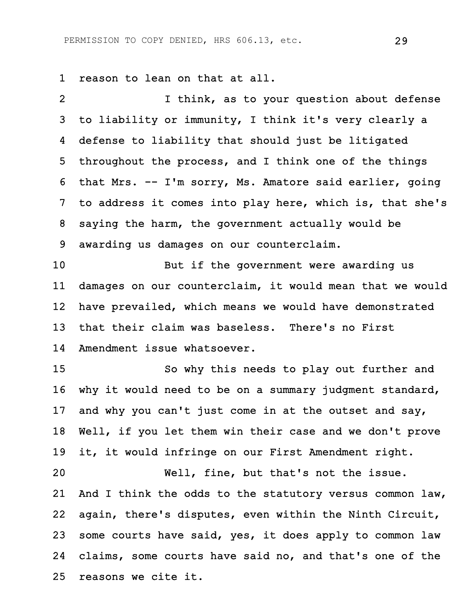1 reason to lean on that at all.

2 I think, as to your question about defense 3 to liability or immunity, I think it's very clearly a 4 defense to liability that should just be litigated 5 throughout the process, and I think one of the things 6 that Mrs. -- I'm sorry, Ms. Amatore said earlier, going 7 to address it comes into play here, which is, that she's 8 saying the harm, the government actually would be 9 awarding us damages on our counterclaim.

10 But if the government were awarding us 11 damages on our counterclaim, it would mean that we would 12 have prevailed, which means we would have demonstrated 13 that their claim was baseless. There's no First 14 Amendment issue whatsoever.

15 So why this needs to play out further and 16 why it would need to be on a summary judgment standard, 17 and why you can't just come in at the outset and say, 18 Well, if you let them win their case and we don't prove 19 it, it would infringe on our First Amendment right.

20 Well, fine, but that's not the issue. 21 And I think the odds to the statutory versus common law, 22 again, there's disputes, even within the Ninth Circuit, 23 some courts have said, yes, it does apply to common law 24 claims, some courts have said no, and that's one of the 25 reasons we cite it.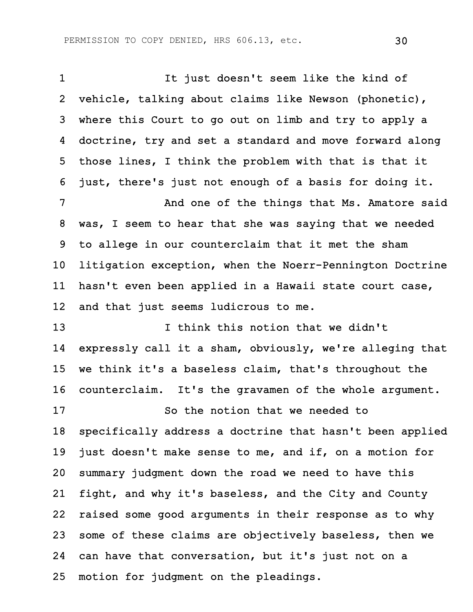1 It just doesn't seem like the kind of 2 vehicle, talking about claims like Newson (phonetic), 3 where this Court to go out on limb and try to apply a 4 doctrine, try and set a standard and move forward along 5 those lines, I think the problem with that is that it 6 just, there's just not enough of a basis for doing it. 7 And one of the things that Ms. Amatore said 8 was, I seem to hear that she was saying that we needed 9 to allege in our counterclaim that it met the sham 10 litigation exception, when the Noerr-Pennington Doctrine 11 hasn't even been applied in a Hawaii state court case, 12 and that just seems ludicrous to me. 13 13 I think this notion that we didn't 14 expressly call it a sham, obviously, we're alleging that 15 we think it's a baseless claim, that's throughout the 16 counterclaim. It's the gravamen of the whole argument. 17 So the notion that we needed to 18 specifically address a doctrine that hasn't been applied 19 just doesn't make sense to me, and if, on a motion for 20 summary judgment down the road we need to have this 21 fight, and why it's baseless, and the City and County 22 raised some good arguments in their response as to why 23 some of these claims are objectively baseless, then we 24 can have that conversation, but it's just not on a 25 motion for judgment on the pleadings.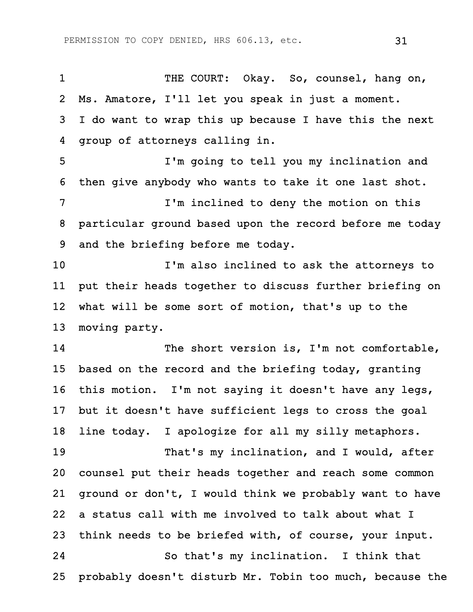1 THE COURT: Okay. So, counsel, hang on, 2 Ms. Amatore, I'll let you speak in just a moment. 3 I do want to wrap this up because I have this the next 4 group of attorneys calling in.

5 I'm going to tell you my inclination and 6 then give anybody who wants to take it one last shot. 7 I'm inclined to deny the motion on this 8 particular ground based upon the record before me today 9 and the briefing before me today.

10 I'm also inclined to ask the attorneys to 11 put their heads together to discuss further briefing on 12 what will be some sort of motion, that's up to the 13 moving party.

14 The short version is, I'm not comfortable, 15 based on the record and the briefing today, granting 16 this motion. I'm not saying it doesn't have any legs, 17 but it doesn't have sufficient legs to cross the goal 18 line today. I apologize for all my silly metaphors.

19 That's my inclination, and I would, after 20 counsel put their heads together and reach some common 21 ground or don't, I would think we probably want to have 22 a status call with me involved to talk about what I 23 think needs to be briefed with, of course, your input. 24 So that's my inclination. I think that 25 probably doesn't disturb Mr. Tobin too much, because the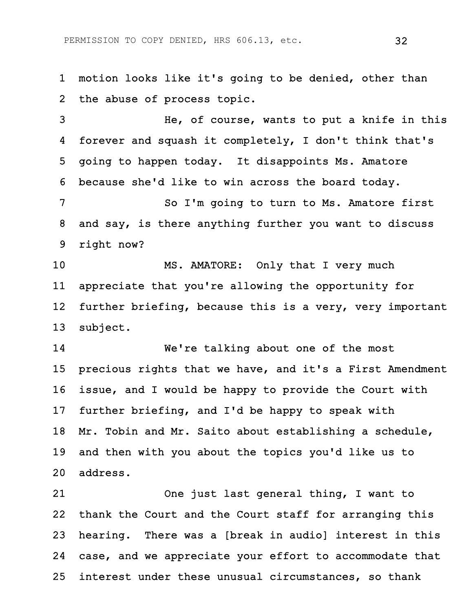1 motion looks like it's going to be denied, other than 2 the abuse of process topic.

3 He, of course, wants to put a knife in this 4 forever and squash it completely, I don't think that's 5 going to happen today. It disappoints Ms. Amatore 6 because she'd like to win across the board today.

7 So I'm going to turn to Ms. Amatore first 8 and say, is there anything further you want to discuss 9 right now?

10 MS. AMATORE: Only that I very much 11 appreciate that you're allowing the opportunity for 12 further briefing, because this is a very, very important 13 subject.

14 We're talking about one of the most 15 precious rights that we have, and it's a First Amendment 16 issue, and I would be happy to provide the Court with 17 further briefing, and I'd be happy to speak with 18 Mr. Tobin and Mr. Saito about establishing a schedule, 19 and then with you about the topics you'd like us to 20 address.

21 One just last general thing, I want to 22 thank the Court and the Court staff for arranging this 23 hearing. There was a [break in audio] interest in this 24 case, and we appreciate your effort to accommodate that 25 interest under these unusual circumstances, so thank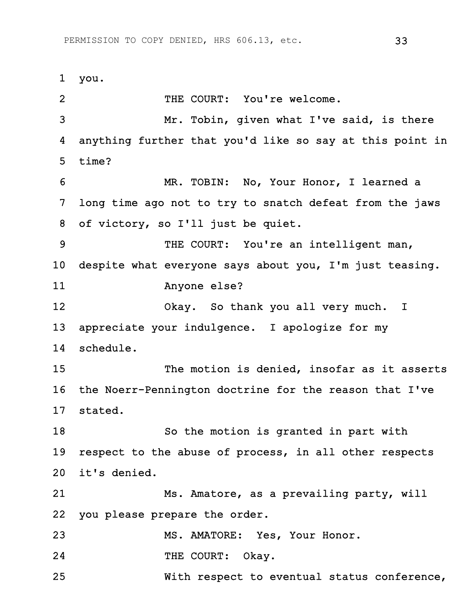1 you. 2 THE COURT: You're welcome. 3 Mr. Tobin, given what I've said, is there 4 anything further that you'd like so say at this point in 5 time? 6 MR. TOBIN: No, Your Honor, I learned a 7 long time ago not to try to snatch defeat from the jaws 8 of victory, so I'll just be quiet. 9 THE COURT: You're an intelligent man, 10 despite what everyone says about you, I'm just teasing. 11 Anyone else? 12 Okay. So thank you all very much. I 13 appreciate your indulgence. I apologize for my 14 schedule. 15 The motion is denied, insofar as it asserts 16 the Noerr-Pennington doctrine for the reason that I've 17 stated. 18 So the motion is granted in part with 19 respect to the abuse of process, in all other respects 20 it's denied. 21 Ms. Amatore, as a prevailing party, will 22 you please prepare the order. 23 MS. AMATORE: Yes, Your Honor. 24 THE COURT: Okay. 25 With respect to eventual status conference,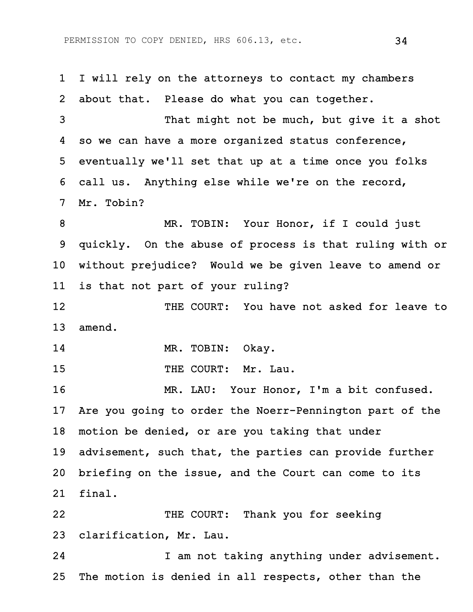1 I will rely on the attorneys to contact my chambers 2 about that. Please do what you can together. 3 That might not be much, but give it a shot 4 so we can have a more organized status conference, 5 eventually we'll set that up at a time once you folks 6 call us. Anything else while we're on the record, 7 Mr. Tobin? 8 MR. TOBIN: Your Honor, if I could just 9 quickly. On the abuse of process is that ruling with or 10 without prejudice? Would we be given leave to amend or 11 is that not part of your ruling? 12 THE COURT: You have not asked for leave to 13 amend. 14 MR. TOBIN: Okay. 15 THE COURT: Mr. Lau. 16 MR. LAU: Your Honor, I'm a bit confused. 17 Are you going to order the Noerr-Pennington part of the 18 motion be denied, or are you taking that under 19 advisement, such that, the parties can provide further 20 briefing on the issue, and the Court can come to its 21 final. 22 THE COURT: Thank you for seeking 23 clarification, Mr. Lau. 24 I am not taking anything under advisement. 25 The motion is denied in all respects, other than the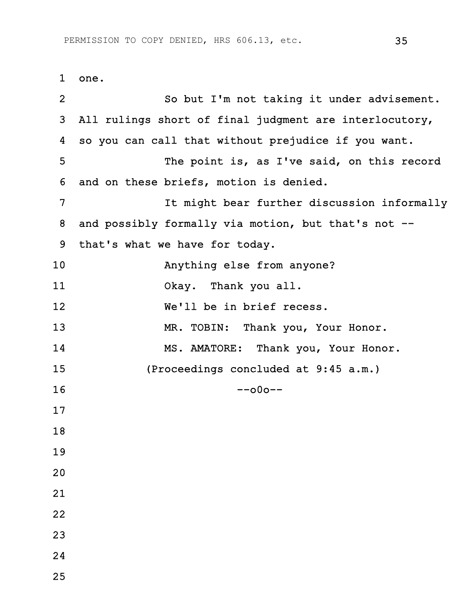1 one. 2 So but I'm not taking it under advisement. 3 All rulings short of final judgment are interlocutory, 4 so you can call that without prejudice if you want. 5 The point is, as I've said, on this record 6 and on these briefs, motion is denied. 7 It might bear further discussion informally 8 and possibly formally via motion, but that's not -- 9 that's what we have for today. 10 Anything else from anyone? 11 Okay. Thank you all. 12 We'll be in brief recess. 13 MR. TOBIN: Thank you, Your Honor. 14 MS. AMATORE: Thank you, Your Honor. 15 (Proceedings concluded at 9:45 a.m.)  $16$  --000--17 18 19 20 21 22 23 24

25